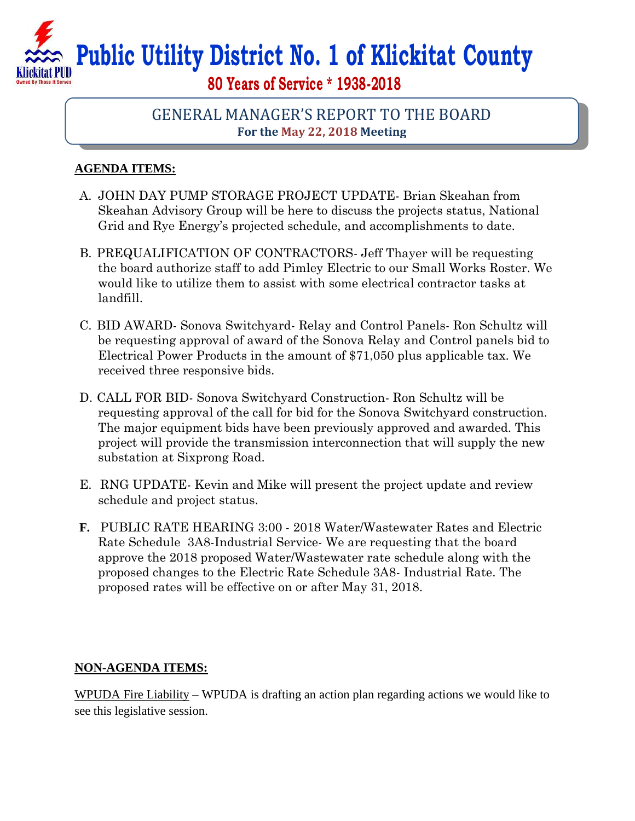## **Public Utility District No. 1 of Klickitat County 80 Years of Service \* 1938-2018**

## GENERAL MANAGER'S REPORT TO THE BOARD **For the May 22, 2018 Meeting**

## **AGENDA ITEMS:**

- A. JOHN DAY PUMP STORAGE PROJECT UPDATE- Brian Skeahan from Skeahan Advisory Group will be here to discuss the projects status, National Grid and Rye Energy's projected schedule, and accomplishments to date.
- B. PREQUALIFICATION OF CONTRACTORS- Jeff Thayer will be requesting the board authorize staff to add Pimley Electric to our Small Works Roster. We would like to utilize them to assist with some electrical contractor tasks at landfill.
- C. BID AWARD- Sonova Switchyard- Relay and Control Panels- Ron Schultz will be requesting approval of award of the Sonova Relay and Control panels bid to Electrical Power Products in the amount of \$71,050 plus applicable tax. We received three responsive bids.
- D. CALL FOR BID- Sonova Switchyard Construction- Ron Schultz will be requesting approval of the call for bid for the Sonova Switchyard construction. The major equipment bids have been previously approved and awarded. This project will provide the transmission interconnection that will supply the new substation at Sixprong Road.
- E. RNG UPDATE- Kevin and Mike will present the project update and review schedule and project status.
- **F.** PUBLIC RATE HEARING 3:00 2018 Water/Wastewater Rates and Electric Rate Schedule 3A8-Industrial Service- We are requesting that the board approve the 2018 proposed Water/Wastewater rate schedule along with the proposed changes to the Electric Rate Schedule 3A8- Industrial Rate. The proposed rates will be effective on or after May 31, 2018.

## **NON-AGENDA ITEMS:**

WPUDA Fire Liability – WPUDA is drafting an action plan regarding actions we would like to see this legislative session.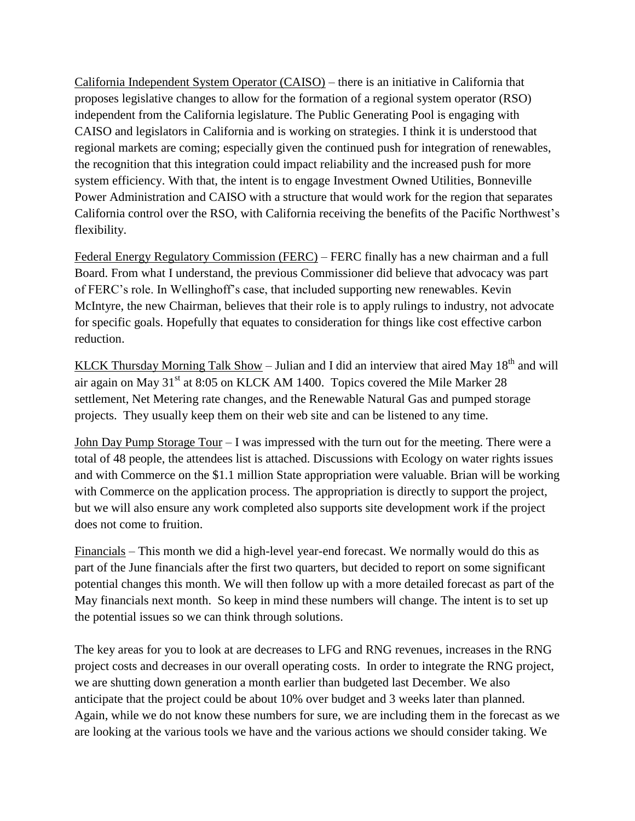California Independent System Operator (CAISO) – there is an initiative in California that proposes legislative changes to allow for the formation of a regional system operator (RSO) independent from the California legislature. The Public Generating Pool is engaging with CAISO and legislators in California and is working on strategies. I think it is understood that regional markets are coming; especially given the continued push for integration of renewables, the recognition that this integration could impact reliability and the increased push for more system efficiency. With that, the intent is to engage Investment Owned Utilities, Bonneville Power Administration and CAISO with a structure that would work for the region that separates California control over the RSO, with California receiving the benefits of the Pacific Northwest's flexibility.

Federal Energy Regulatory Commission (FERC) – FERC finally has a new chairman and a full Board. From what I understand, the previous Commissioner did believe that advocacy was part of FERC's role. In Wellinghoff's case, that included supporting new renewables. Kevin McIntyre, the new Chairman, believes that their role is to apply rulings to industry, not advocate for specific goals. Hopefully that equates to consideration for things like cost effective carbon reduction.

KLCK Thursday Morning Talk Show – Julian and I did an interview that aired May  $18<sup>th</sup>$  and will air again on May  $31<sup>st</sup>$  at 8:05 on KLCK AM 1400. Topics covered the Mile Marker 28 settlement, Net Metering rate changes, and the Renewable Natural Gas and pumped storage projects. They usually keep them on their web site and can be listened to any time.

John Day Pump Storage Tour – I was impressed with the turn out for the meeting. There were a total of 48 people, the attendees list is attached. Discussions with Ecology on water rights issues and with Commerce on the \$1.1 million State appropriation were valuable. Brian will be working with Commerce on the application process. The appropriation is directly to support the project, but we will also ensure any work completed also supports site development work if the project does not come to fruition.

Financials – This month we did a high-level year-end forecast. We normally would do this as part of the June financials after the first two quarters, but decided to report on some significant potential changes this month. We will then follow up with a more detailed forecast as part of the May financials next month. So keep in mind these numbers will change. The intent is to set up the potential issues so we can think through solutions.

The key areas for you to look at are decreases to LFG and RNG revenues, increases in the RNG project costs and decreases in our overall operating costs. In order to integrate the RNG project, we are shutting down generation a month earlier than budgeted last December. We also anticipate that the project could be about 10% over budget and 3 weeks later than planned. Again, while we do not know these numbers for sure, we are including them in the forecast as we are looking at the various tools we have and the various actions we should consider taking. We